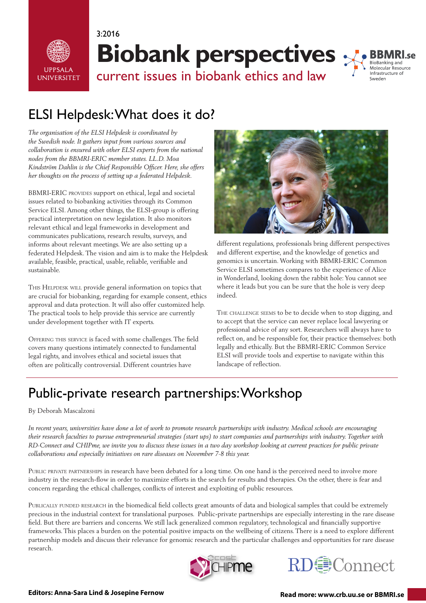

**Biobank perspectives**



current issues in biobank ethics and law

# ELSI Helpdesk: What does it do?

3:2016

*The organisation of the ELSI Helpdesk is coordinated by the Swedish node. It gathers input from various sources and collaboration is ensured with other ELSI experts from the national nodes from the BBMRI-ERIC member states. LL.D. Moa Kindström Dahlin is the Chief Responsible Officer. Here, she offers her thoughts on the process of setting up a federated Helpdesk.*

BBMRI-ERIC provides support on ethical, legal and societal issues related to biobanking activities through its Common Service ELSI. Among other things, the ELSI-group is offering practical interpretation on new legislation. It also monitors relevant ethical and legal frameworks in development and communicates publications, research results, surveys, and informs about relevant meetings. We are also setting up a federated Helpdesk. The vision and aim is to make the Helpdesk available, feasible, practical, usable, reliable, verifiable and sustainable.

THIS HELPDESK WILL provide general information on topics that are crucial for biobanking, regarding for example consent, ethics approval and data protection. It will also offer customized help. The practical tools to help provide this service are currently under development together with IT experts.

Offering this service is faced with some challenges. The field covers many questions intimately connected to fundamental legal rights, and involves ethical and societal issues that often are politically controversial. Different countries have



different regulations, professionals bring different perspectives and different expertise, and the knowledge of genetics and genomics is uncertain. Working with BBMRI-ERIC Common Service ELSI sometimes compares to the experience of Alice in Wonderland, looking down the rabbit hole: You cannot see where it leads but you can be sure that the hole is very deep indeed.

THE CHALLENGE SEEMS to be to decide when to stop digging, and to accept that the service can never replace local lawyering or professional advice of any sort. Researchers will always have to reflect on, and be responsible for, their practice themselves: both legally and ethically. But the BBMRI-ERIC Common Service ELSI will provide tools and expertise to navigate within this landscape of reflection.

## Public-private research partnerships: Workshop

#### By Deborah Mascalzoni

*In recent years, universities have done a lot of work to promote research partnerships with industry. Medical schools are encouraging their research faculties to pursue entrepreneurial strategies (start ups) to start companies and partnerships with industry. Together with RD-Connect and CHIPme, we invite you to discuss these issues in a two day workshop looking at current practices for public private collaborations and especially initiatives on rare diseases on November 7-8 this year.*

Public private partnerships in research have been debated for a long time. On one hand is the perceived need to involve more industry in the research-flow in order to maximize efforts in the search for results and therapies. On the other, there is fear and concern regarding the ethical challenges, conflicts of interest and exploiting of public resources.

PUBLICALLY FUNDED RESEARCH in the biomedical field collects great amounts of data and biological samples that could be extremely precious in the industrial context for translational purposes. Public-private partnerships are especially interesting in the rare disease field. But there are barriers and concerns. We still lack generalized common regulatory, technological and financially supportive frameworks. This places a burden on the potential positive impacts on the wellbeing of citizens. There is a need to explore different partnership models and discuss their relevance for genomic research and the particular challenges and opportunities for rare disease research.